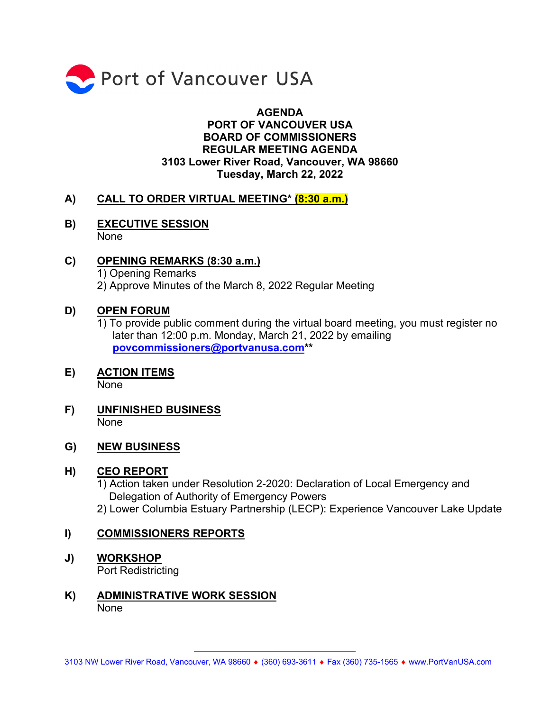

## **AGENDA PORT OF VANCOUVER USA BOARD OF COMMISSIONERS REGULAR MEETING AGENDA 3103 Lower River Road, Vancouver, WA 98660 Tuesday, March 22, 2022**

## **A) CALL TO ORDER VIRTUAL MEETING\* (8:30 a.m.)**

- **B) EXECUTIVE SESSION** None
- **C) OPENING REMARKS (8:30 a.m.)**  1) Opening Remarks 2) Approve Minutes of the March 8, 2022 Regular Meeting

#### **D) OPEN FORUM**

- 1) To provide public comment during the virtual board meeting, you must register no later than 12:00 p.m. Monday, March 21, 2022 by emailing **[povcommissioners@portvanusa.com\\*](mailto:povcommissioners@portvanusa.com)\***
- **E) ACTION ITEMS**  None
- **F) UNFINISHED BUSINESS** None

#### **G) NEW BUSINESS**

#### **H) CEO REPORT**

1) Action taken under Resolution 2-2020: Declaration of Local Emergency and Delegation of Authority of Emergency Powers 2) Lower Columbia Estuary Partnership (LECP): Experience Vancouver Lake Update

#### **I) COMMISSIONERS REPORTS**

- **J) WORKSHOP** Port Redistricting
- **K) ADMINISTRATIVE WORK SESSION** None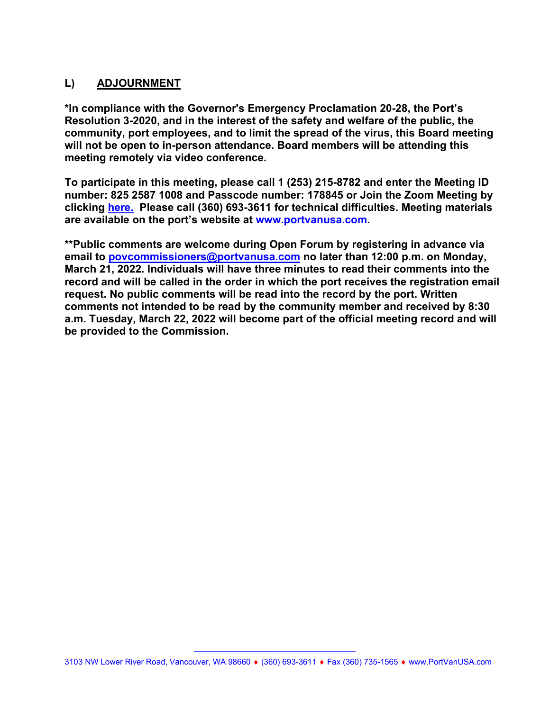## **L) ADJOURNMENT**

**\*In compliance with the Governor's Emergency Proclamation 20-28, the Port's Resolution 3-2020, and in the interest of the safety and welfare of the public, the community, port employees, and to limit the spread of the virus, this Board meeting will not be open to in-person attendance. Board members will be attending this meeting remotely via video conference.** 

**To participate in this meeting, please call 1 (253) 215-8782 and enter the Meeting ID number: 825 2587 1008 and Passcode number: 178845 or Join the Zoom Meeting by clicking [here.](https://us06web.zoom.us/j/82525871008?pwd=anR3SEFlckFiaXJETXBaRVdPVmtuQT09) Please call (360) 693-3611 for technical difficulties. Meeting materials are available on the port's website at [www.portvanusa.com.](http://www.portvanusa.com/)**

**\*\*Public comments are welcome during Open Forum by registering in advance via email to [povcommissioners@portvanusa.com](mailto:povcommissioners@portvanusa.com) no later than 12:00 p.m. on Monday, March 21, 2022. Individuals will have three minutes to read their comments into the record and will be called in the order in which the port receives the registration email request. No public comments will be read into the record by the port. Written comments not intended to be read by the community member and received by 8:30 a.m. Tuesday, March 22, 2022 will become part of the official meeting record and will be provided to the Commission.**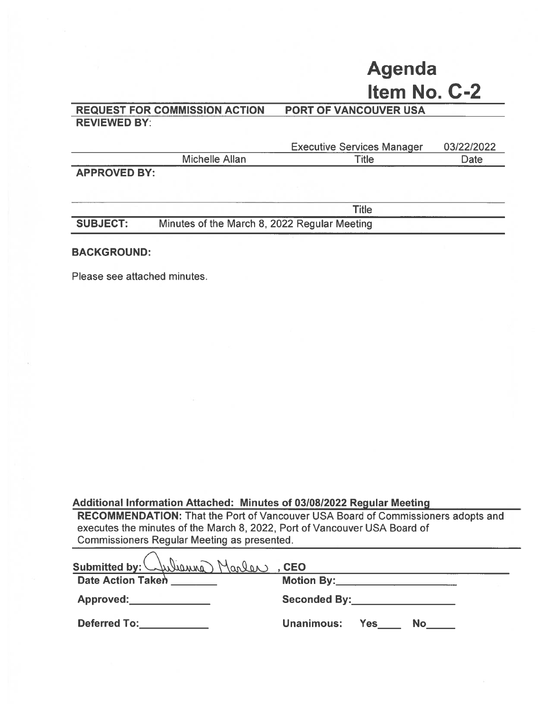# **Agenda** Item No. C-2

#### **PORT OF VANCOUVER USA REQUEST FOR COMMISSION ACTION REVIEWED BY:**

|                     |                | <b>Executive Services Manager</b> | 03/22/2022  |
|---------------------|----------------|-----------------------------------|-------------|
|                     | Michelle Allan | ⊤itle                             | <b>Date</b> |
| <b>APPROVED BY:</b> |                |                                   |             |

 $\overline{\phantom{iiiiiiii}}$ 

|                 | l itle                                       |  |
|-----------------|----------------------------------------------|--|
| <b>SUBJECT:</b> | Minutes of the March 8, 2022 Regular Meeting |  |

#### **BACKGROUND:**

Please see attached minutes.

#### Additional Information Attached: Minutes of 03/08/2022 Regular Meeting

RECOMMENDATION: That the Port of Vancouver USA Board of Commissioners adopts and executes the minutes of the March 8, 2022, Port of Vancouver USA Board of **Commissioners Regular Meeting as presented.** 

| Submitted by: Wulliams Marlen, CEO |                                                                                                                                                                                                                                |
|------------------------------------|--------------------------------------------------------------------------------------------------------------------------------------------------------------------------------------------------------------------------------|
| Date Action Taken                  | Motion By: the contract of the contract of the contract of the contract of the contract of the contract of the                                                                                                                 |
| Approved:                          | Seconded By: the contract of the second second seconds of the second second second second second second second second second second second second second second second second second second second second second second second |
| <b>Deferred To: Example 1</b>      | <b>Unanimous:</b><br>Yes:<br>No                                                                                                                                                                                                |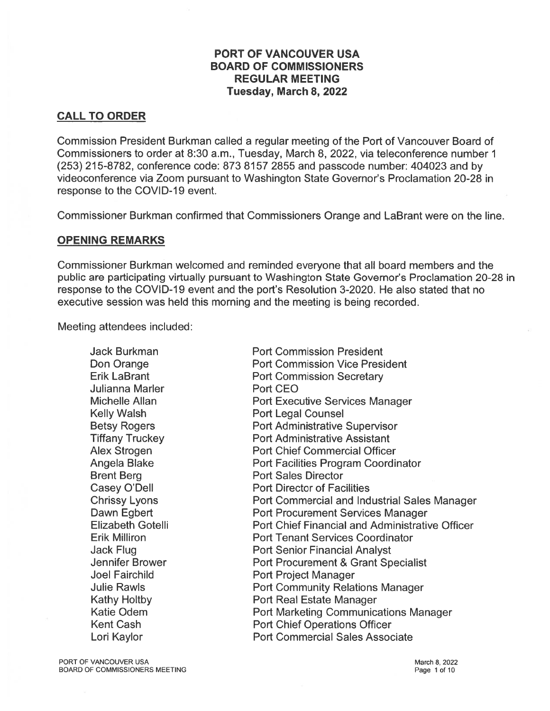#### **PORT OF VANCOUVER USA BOARD OF COMMISSIONERS REGULAR MEETING** Tuesday, March 8, 2022

## **CALL TO ORDER**

Commission President Burkman called a regular meeting of the Port of Vancouver Board of Commissioners to order at 8:30 a.m., Tuesday, March 8, 2022, via teleconference number 1 (253) 215-8782, conference code: 873 8157 2855 and passcode number: 404023 and by videoconference via Zoom pursuant to Washington State Governor's Proclamation 20-28 in response to the COVID-19 event.

Commissioner Burkman confirmed that Commissioners Orange and LaBrant were on the line.

#### **OPENING REMARKS**

Commissioner Burkman welcomed and reminded everyone that all board members and the public are participating virtually pursuant to Washington State Governor's Proclamation 20-28 in response to the COVID-19 event and the port's Resolution 3-2020. He also stated that no executive session was held this morning and the meeting is being recorded.

Meeting attendees included:

**Jack Burkman Port Commission President** Don Orange **Port Commission Vice President Erik LaBrant Port Commission Secretary** Julianna Marler Port CEO Michelle Allan **Port Executive Services Manager Kelly Walsh Port Legal Counsel** Port Administrative Supervisor **Betsy Rogers Tiffany Truckey Port Administrative Assistant Alex Strogen Port Chief Commercial Officer** Angela Blake Port Facilities Program Coordinator **Brent Berg Port Sales Director** Casey O'Dell **Port Director of Facilities Chrissy Lyons Port Commercial and Industrial Sales Manager** Dawn Egbert **Port Procurement Services Manager Elizabeth Gotelli** Port Chief Financial and Administrative Officer Erik Milliron **Port Tenant Services Coordinator Port Senior Financial Analyst** Jack Flug Jennifer Brower Port Procurement & Grant Specialist **Joel Fairchild Port Project Manager Julie Rawls Port Community Relations Manager Kathy Holtby Port Real Estate Manager Katie Odem Port Marketing Communications Manager Kent Cash Port Chief Operations Officer** Lori Kaylor **Port Commercial Sales Associate** 

PORT OF VANCOUVER USA BOARD OF COMMISSIONERS MEETING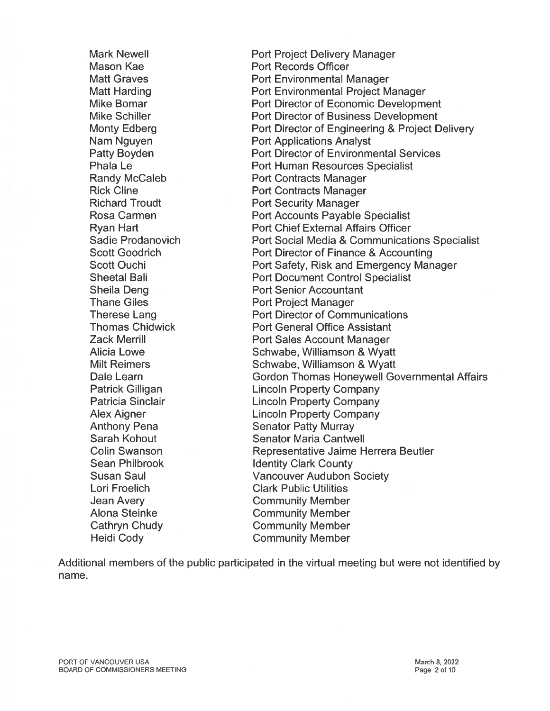**Mark Newell** Mason Kae **Matt Graves Matt Harding Mike Bomar** Mike Schiller **Monty Edberg** Nam Nguyen **Patty Boyden Phala Le Randy McCaleb Rick Cline Richard Troudt** Rosa Carmen **Ryan Hart Sadie Prodanovich Scott Goodrich Scott Ouchi Sheetal Bali Sheila Deng Thane Giles Therese Lang Thomas Chidwick Zack Merrill Alicia Lowe Milt Reimers** Dale Learn Patrick Gilligan Patricia Sinclair **Alex Aigner Anthony Pena** Sarah Kohout Colin Swanson **Sean Philbrook Susan Saul** Lori Froelich **Jean Avery Alona Steinke** Cathryn Chudy **Heidi Cody** 

**Port Project Delivery Manager Port Records Officer Port Environmental Manager** Port Environmental Project Manager Port Director of Economic Development **Port Director of Business Development** Port Director of Engineering & Project Delivery **Port Applications Analyst Port Director of Environmental Services Port Human Resources Specialist Port Contracts Manager Port Contracts Manager Port Security Manager Port Accounts Payable Specialist Port Chief External Affairs Officer** Port Social Media & Communications Specialist Port Director of Finance & Accounting Port Safety, Risk and Emergency Manager **Port Document Control Specialist Port Senior Accountant Port Project Manager Port Director of Communications Port General Office Assistant Port Sales Account Manager** Schwabe, Williamson & Wyatt Schwabe, Williamson & Wyatt **Gordon Thomas Honeywell Governmental Affairs Lincoln Property Company Lincoln Property Company Lincoln Property Company Senator Patty Murray Senator Maria Cantwell** Representative Jaime Herrera Beutler **Identity Clark County Vancouver Audubon Society Clark Public Utilities Community Member Community Member Community Member Community Member** 

Additional members of the public participated in the virtual meeting but were not identified by name.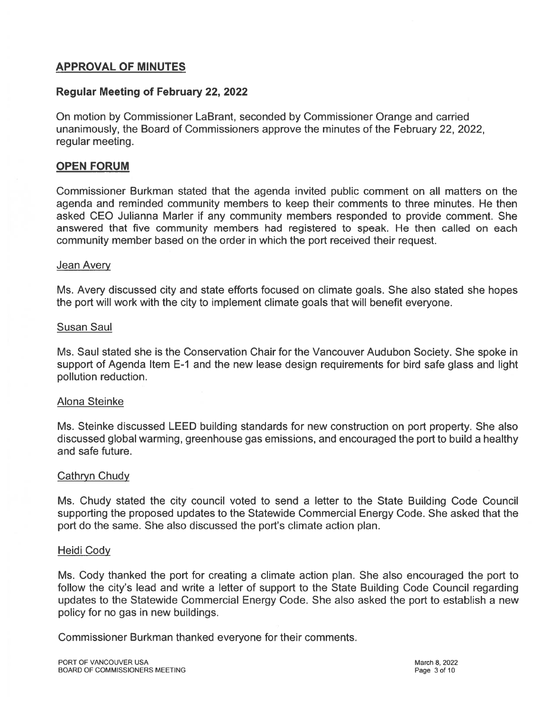## **APPROVAL OF MINUTES**

#### **Regular Meeting of February 22, 2022**

On motion by Commissioner LaBrant, seconded by Commissioner Orange and carried unanimously, the Board of Commissioners approve the minutes of the February 22, 2022, regular meeting.

#### **OPEN FORUM**

Commissioner Burkman stated that the agenda invited public comment on all matters on the agenda and reminded community members to keep their comments to three minutes. He then asked CEO Julianna Marler if any community members responded to provide comment. She answered that five community members had registered to speak. He then called on each community member based on the order in which the port received their request.

#### Jean Avery

Ms. Avery discussed city and state efforts focused on climate goals. She also stated she hopes the port will work with the city to implement climate goals that will benefit everyone.

#### **Susan Saul**

Ms. Saul stated she is the Conservation Chair for the Vancouver Audubon Society. She spoke in support of Agenda Item E-1 and the new lease design requirements for bird safe glass and light pollution reduction.

#### **Alona Steinke**

Ms. Steinke discussed LEED building standards for new construction on port property. She also discussed global warming, greenhouse gas emissions, and encouraged the port to build a healthy and safe future.

#### Cathryn Chudy

Ms. Chudy stated the city council voted to send a letter to the State Building Code Council supporting the proposed updates to the Statewide Commercial Energy Code. She asked that the port do the same. She also discussed the port's climate action plan.

#### **Heidi Cody**

Ms. Cody thanked the port for creating a climate action plan. She also encouraged the port to follow the city's lead and write a letter of support to the State Building Code Council regarding updates to the Statewide Commercial Energy Code. She also asked the port to establish a new policy for no gas in new buildings.

Commissioner Burkman thanked everyone for their comments.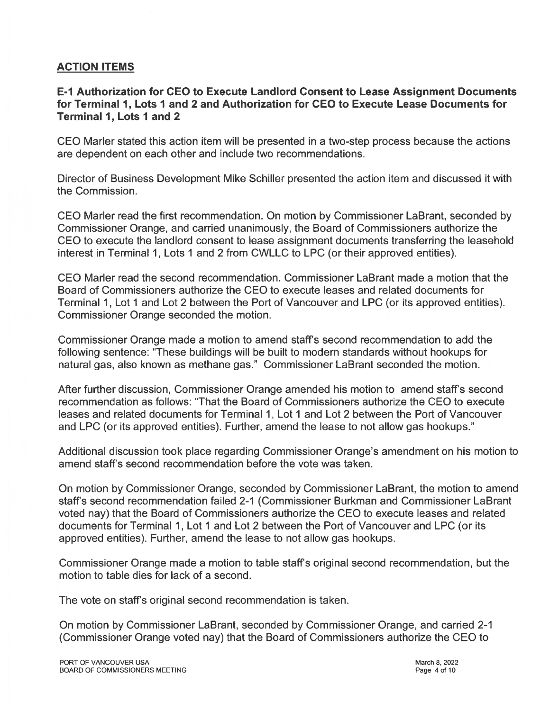## **ACTION ITEMS**

E-1 Authorization for CEO to Execute Landlord Consent to Lease Assignment Documents for Terminal 1, Lots 1 and 2 and Authorization for CEO to Execute Lease Documents for **Terminal 1, Lots 1 and 2** 

CEO Marler stated this action item will be presented in a two-step process because the actions are dependent on each other and include two recommendations.

Director of Business Development Mike Schiller presented the action item and discussed it with the Commission.

CEO Marler read the first recommendation. On motion by Commissioner LaBrant, seconded by Commissioner Orange, and carried unanimously, the Board of Commissioners authorize the CEO to execute the landlord consent to lease assignment documents transferring the leasehold interest in Terminal 1, Lots 1 and 2 from CWLLC to LPC (or their approved entities).

CEO Marler read the second recommendation. Commissioner LaBrant made a motion that the Board of Commissioners authorize the CEO to execute leases and related documents for Terminal 1, Lot 1 and Lot 2 between the Port of Vancouver and LPC (or its approved entities). Commissioner Orange seconded the motion.

Commissioner Orange made a motion to amend staff's second recommendation to add the following sentence: "These buildings will be built to modern standards without hookups for natural gas, also known as methane gas." Commissioner LaBrant seconded the motion.

After further discussion, Commissioner Orange amended his motion to amend staff's second recommendation as follows: "That the Board of Commissioners authorize the CEO to execute leases and related documents for Terminal 1, Lot 1 and Lot 2 between the Port of Vancouver and LPC (or its approved entities). Further, amend the lease to not allow gas hookups."

Additional discussion took place regarding Commissioner Orange's amendment on his motion to amend staff's second recommendation before the vote was taken.

On motion by Commissioner Orange, seconded by Commissioner LaBrant, the motion to amend staff's second recommendation failed 2-1 (Commissioner Burkman and Commissioner LaBrant voted nay) that the Board of Commissioners authorize the CEO to execute leases and related documents for Terminal 1, Lot 1 and Lot 2 between the Port of Vancouver and LPC (or its approved entities). Further, amend the lease to not allow gas hookups.

Commissioner Orange made a motion to table staff's original second recommendation, but the motion to table dies for lack of a second.

The vote on staff's original second recommendation is taken.

On motion by Commissioner LaBrant, seconded by Commissioner Orange, and carried 2-1 (Commissioner Orange voted nay) that the Board of Commissioners authorize the CEO to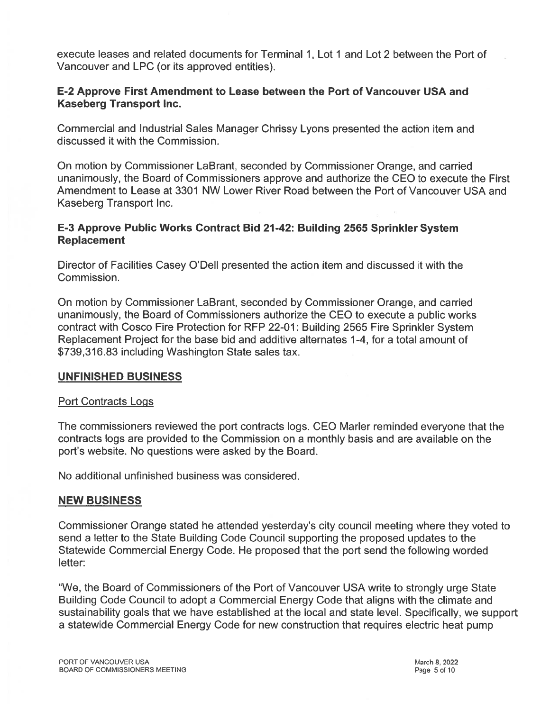execute leases and related documents for Terminal 1, Lot 1 and Lot 2 between the Port of Vancouver and LPC (or its approved entities).

## E-2 Approve First Amendment to Lease between the Port of Vancouver USA and **Kaseberg Transport Inc.**

Commercial and Industrial Sales Manager Chrissy Lyons presented the action item and discussed it with the Commission.

On motion by Commissioner LaBrant, seconded by Commissioner Orange, and carried unanimously, the Board of Commissioners approve and authorize the CEO to execute the First Amendment to Lease at 3301 NW Lower River Road between the Port of Vancouver USA and Kaseberg Transport Inc.

## E-3 Approve Public Works Contract Bid 21-42: Building 2565 Sprinkler System **Replacement**

Director of Facilities Casey O'Dell presented the action item and discussed it with the Commission.

On motion by Commissioner LaBrant, seconded by Commissioner Orange, and carried unanimously, the Board of Commissioners authorize the CEO to execute a public works contract with Cosco Fire Protection for RFP 22-01: Building 2565 Fire Sprinkler System Replacement Project for the base bid and additive alternates 1-4, for a total amount of \$739,316.83 including Washington State sales tax.

#### **UNFINISHED BUSINESS**

#### **Port Contracts Logs**

The commissioners reviewed the port contracts logs. CEO Marler reminded everyone that the contracts logs are provided to the Commission on a monthly basis and are available on the port's website. No questions were asked by the Board.

No additional unfinished business was considered.

#### **NEW BUSINESS**

Commissioner Orange stated he attended yesterday's city council meeting where they voted to send a letter to the State Building Code Council supporting the proposed updates to the Statewide Commercial Energy Code. He proposed that the port send the following worded letter:

"We, the Board of Commissioners of the Port of Vancouver USA write to strongly urge State Building Code Council to adopt a Commercial Energy Code that aligns with the climate and sustainability goals that we have established at the local and state level. Specifically, we support a statewide Commercial Energy Code for new construction that requires electric heat pump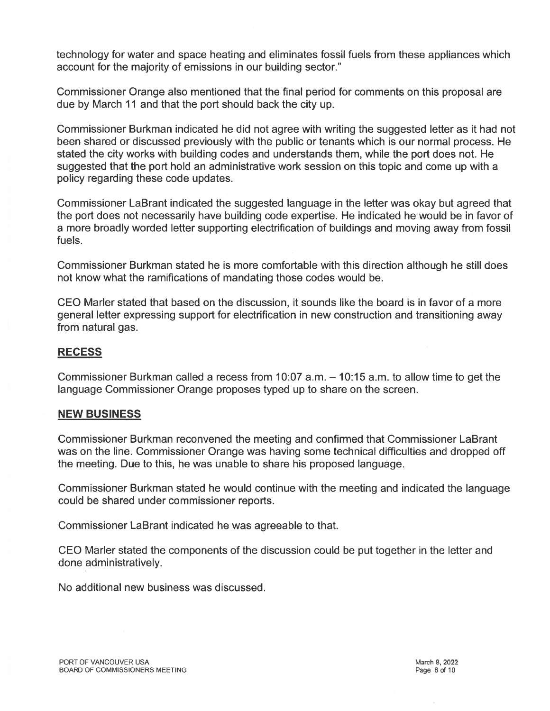technology for water and space heating and eliminates fossil fuels from these appliances which account for the majority of emissions in our building sector."

Commissioner Orange also mentioned that the final period for comments on this proposal are due by March 11 and that the port should back the city up.

Commissioner Burkman indicated he did not agree with writing the suggested letter as it had not been shared or discussed previously with the public or tenants which is our normal process. He stated the city works with building codes and understands them, while the port does not. He suggested that the port hold an administrative work session on this topic and come up with a policy regarding these code updates.

Commissioner LaBrant indicated the suggested language in the letter was okay but agreed that the port does not necessarily have building code expertise. He indicated he would be in favor of a more broadly worded letter supporting electrification of buildings and moving away from fossil fuels.

Commissioner Burkman stated he is more comfortable with this direction although he still does not know what the ramifications of mandating those codes would be.

CEO Marler stated that based on the discussion, it sounds like the board is in favor of a more general letter expressing support for electrification in new construction and transitioning away from natural gas.

#### **RECESS**

Commissioner Burkman called a recess from 10:07 a.m. - 10:15 a.m. to allow time to get the language Commissioner Orange proposes typed up to share on the screen.

#### **NEW BUSINESS**

Commissioner Burkman reconvened the meeting and confirmed that Commissioner LaBrant was on the line. Commissioner Orange was having some technical difficulties and dropped off the meeting. Due to this, he was unable to share his proposed language.

Commissioner Burkman stated he would continue with the meeting and indicated the language could be shared under commissioner reports.

Commissioner LaBrant indicated he was agreeable to that.

CEO Marler stated the components of the discussion could be put together in the letter and done administratively.

No additional new business was discussed.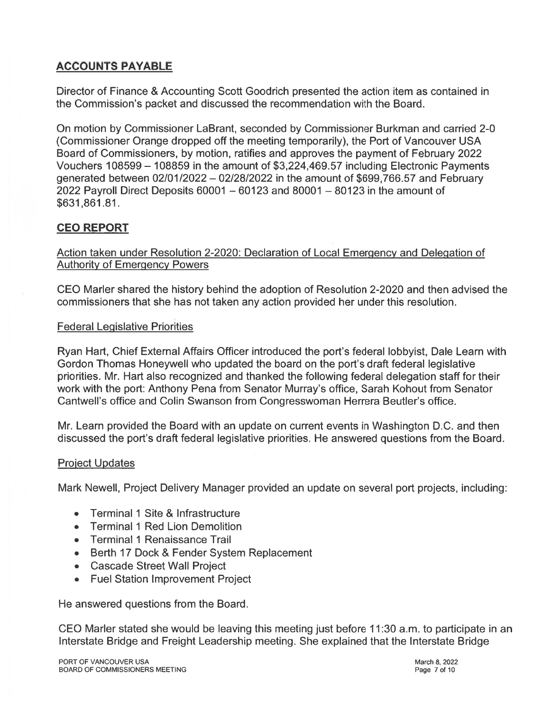## **ACCOUNTS PAYABLE**

Director of Finance & Accounting Scott Goodrich presented the action item as contained in the Commission's packet and discussed the recommendation with the Board.

On motion by Commissioner LaBrant, seconded by Commissioner Burkman and carried 2-0 (Commissioner Orange dropped off the meeting temporarily), the Port of Vancouver USA Board of Commissioners, by motion, ratifies and approves the payment of February 2022 Vouchers 108599 - 108859 in the amount of \$3,224,469.57 including Electronic Payments generated between 02/01/2022 - 02/28/2022 in the amount of \$699,766.57 and February 2022 Payroll Direct Deposits  $60001 - 60123$  and  $80001 - 80123$  in the amount of \$631,861.81.

## **CEO REPORT**

Action taken under Resolution 2-2020: Declaration of Local Emergency and Delegation of **Authority of Emergency Powers** 

CEO Marler shared the history behind the adoption of Resolution 2-2020 and then advised the commissioners that she has not taken any action provided her under this resolution.

#### **Federal Legislative Priorities**

Ryan Hart, Chief External Affairs Officer introduced the port's federal lobbyist, Dale Learn with Gordon Thomas Honeywell who updated the board on the port's draft federal legislative priorities. Mr. Hart also recognized and thanked the following federal delegation staff for their work with the port: Anthony Pena from Senator Murray's office, Sarah Kohout from Senator Cantwell's office and Colin Swanson from Congresswoman Herrera Beutler's office.

Mr. Learn provided the Board with an update on current events in Washington D.C. and then discussed the port's draft federal legislative priorities. He answered questions from the Board.

#### **Project Updates**

Mark Newell, Project Delivery Manager provided an update on several port projects, including:

- **Terminal 1 Site & Infrastructure**
- **Terminal 1 Red Lion Demolition**  $\bullet$
- Terminal 1 Renaissance Trail
- Berth 17 Dock & Fender System Replacement
- Cascade Street Wall Project
- Fuel Station Improvement Project

He answered questions from the Board.

CEO Marler stated she would be leaving this meeting just before 11:30 a.m. to participate in an Interstate Bridge and Freight Leadership meeting. She explained that the Interstate Bridge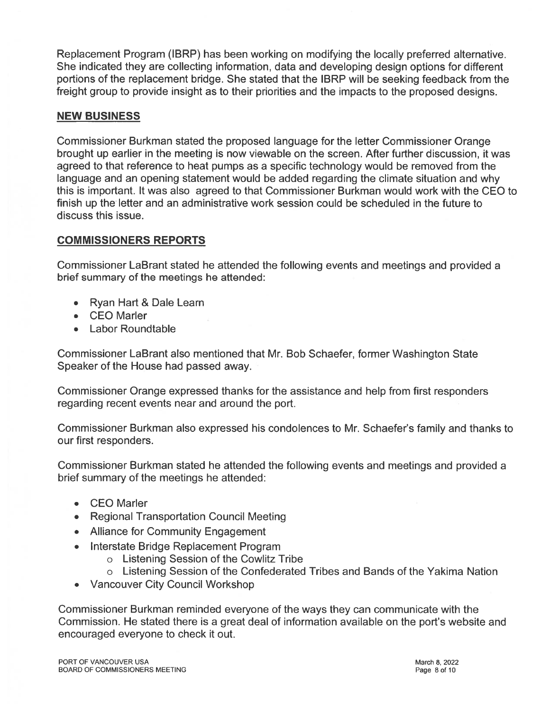Replacement Program (IBRP) has been working on modifying the locally preferred alternative. She indicated they are collecting information, data and developing design options for different portions of the replacement bridge. She stated that the IBRP will be seeking feedback from the freight group to provide insight as to their priorities and the impacts to the proposed designs.

## **NEW BUSINESS**

Commissioner Burkman stated the proposed language for the letter Commissioner Orange brought up earlier in the meeting is now viewable on the screen. After further discussion, it was agreed to that reference to heat pumps as a specific technology would be removed from the language and an opening statement would be added regarding the climate situation and why this is important. It was also agreed to that Commissioner Burkman would work with the CEO to finish up the letter and an administrative work session could be scheduled in the future to discuss this issue.

## **COMMISSIONERS REPORTS**

Commissioner LaBrant stated he attended the following events and meetings and provided a brief summary of the meetings he attended:

- Ryan Hart & Dale Learn
- **CEO** Marler  $\bullet$
- **Labor Roundtable**

Commissioner LaBrant also mentioned that Mr. Bob Schaefer, former Washington State Speaker of the House had passed away.

Commissioner Orange expressed thanks for the assistance and help from first responders regarding recent events near and around the port.

Commissioner Burkman also expressed his condolences to Mr. Schaefer's family and thanks to our first responders.

Commissioner Burkman stated he attended the following events and meetings and provided a brief summary of the meetings he attended:

- CEO Marler
- Regional Transportation Council Meeting
- Alliance for Community Engagement
- Interstate Bridge Replacement Program
	- o Listening Session of the Cowlitz Tribe
	- o Listening Session of the Confederated Tribes and Bands of the Yakima Nation
- Vancouver City Council Workshop

Commissioner Burkman reminded everyone of the ways they can communicate with the Commission. He stated there is a great deal of information available on the port's website and encouraged everyone to check it out.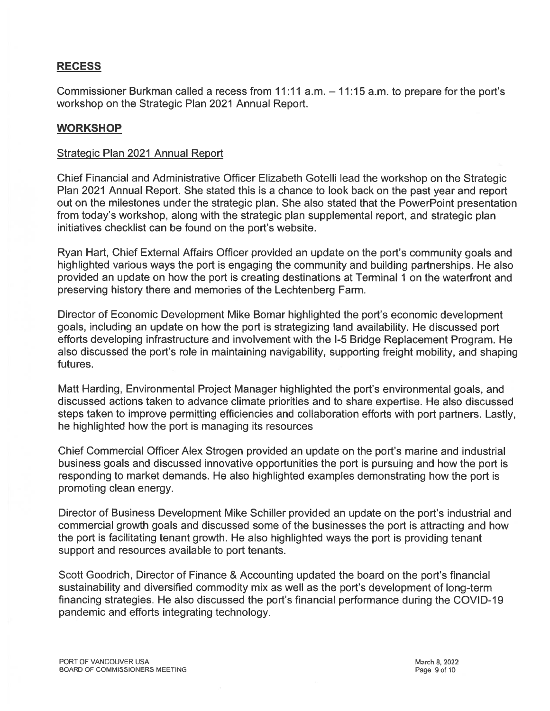## **RECESS**

Commissioner Burkman called a recess from 11:11 a.m. – 11:15 a.m. to prepare for the port's workshop on the Strategic Plan 2021 Annual Report.

## **WORKSHOP**

#### Strategic Plan 2021 Annual Report

Chief Financial and Administrative Officer Elizabeth Gotelli lead the workshop on the Strategic Plan 2021 Annual Report. She stated this is a chance to look back on the past year and report out on the milestones under the strategic plan. She also stated that the PowerPoint presentation from today's workshop, along with the strategic plan supplemental report, and strategic plan initiatives checklist can be found on the port's website.

Ryan Hart, Chief External Affairs Officer provided an update on the port's community goals and highlighted various ways the port is engaging the community and building partnerships. He also provided an update on how the port is creating destinations at Terminal 1 on the waterfront and preserving history there and memories of the Lechtenberg Farm.

Director of Economic Development Mike Bomar highlighted the port's economic development goals, including an update on how the port is strategizing land availability. He discussed port efforts developing infrastructure and involvement with the I-5 Bridge Replacement Program. He also discussed the port's role in maintaining navigability, supporting freight mobility, and shaping futures.

Matt Harding, Environmental Project Manager highlighted the port's environmental goals, and discussed actions taken to advance climate priorities and to share expertise. He also discussed steps taken to improve permitting efficiencies and collaboration efforts with port partners. Lastly, he highlighted how the port is managing its resources

Chief Commercial Officer Alex Strogen provided an update on the port's marine and industrial business goals and discussed innovative opportunities the port is pursuing and how the port is responding to market demands. He also highlighted examples demonstrating how the port is promoting clean energy.

Director of Business Development Mike Schiller provided an update on the port's industrial and commercial growth goals and discussed some of the businesses the port is attracting and how the port is facilitating tenant growth. He also highlighted ways the port is providing tenant support and resources available to port tenants.

Scott Goodrich, Director of Finance & Accounting updated the board on the port's financial sustainability and diversified commodity mix as well as the port's development of long-term financing strategies. He also discussed the port's financial performance during the COVID-19 pandemic and efforts integrating technology.